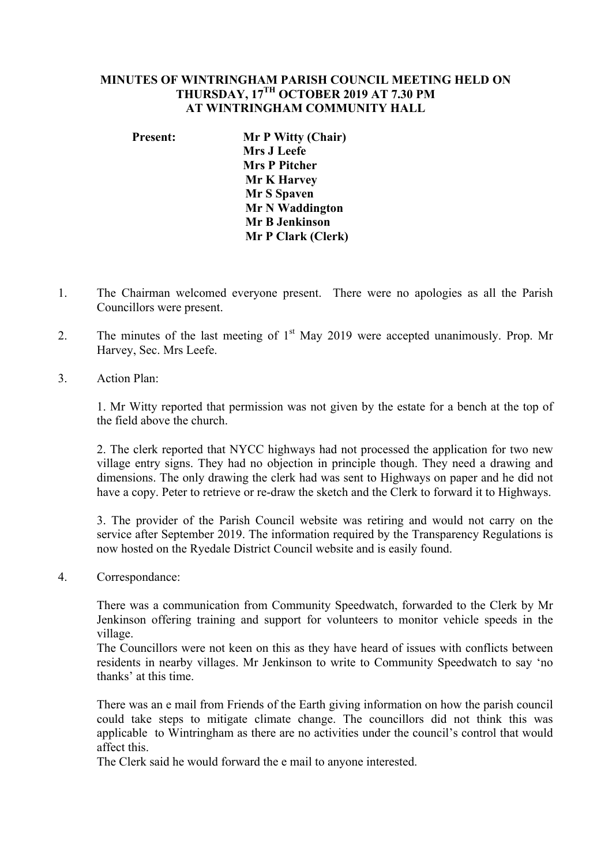## **MINUTES OF WINTRINGHAM PARISH COUNCIL MEETING HELD ON THURSDAY, 17TH OCTOBER 2019 AT 7.30 PM AT WINTRINGHAM COMMUNITY HALL**

## **Present: Mr P Witty (Chair) Mrs J Leefe Mrs P Pitcher Mr K Harvey Mr S Spaven Mr N Waddington Mr B Jenkinson Mr P Clark (Clerk)**

- 1. The Chairman welcomed everyone present. There were no apologies as all the Parish Councillors were present.
- 2. The minutes of the last meeting of  $1<sup>st</sup>$  May 2019 were accepted unanimously. Prop. Mr Harvey, Sec. Mrs Leefe.
- 3. Action Plan:

1. Mr Witty reported that permission was not given by the estate for a bench at the top of the field above the church.

2. The clerk reported that NYCC highways had not processed the application for two new village entry signs. They had no objection in principle though. They need a drawing and dimensions. The only drawing the clerk had was sent to Highways on paper and he did not have a copy. Peter to retrieve or re-draw the sketch and the Clerk to forward it to Highways.

3. The provider of the Parish Council website was retiring and would not carry on the service after September 2019. The information required by the Transparency Regulations is now hosted on the Ryedale District Council website and is easily found.

4. Correspondance:

There was a communication from Community Speedwatch, forwarded to the Clerk by Mr Jenkinson offering training and support for volunteers to monitor vehicle speeds in the village.

The Councillors were not keen on this as they have heard of issues with conflicts between residents in nearby villages. Mr Jenkinson to write to Community Speedwatch to say 'no thanks' at this time.

There was an e mail from Friends of the Earth giving information on how the parish council could take steps to mitigate climate change. The councillors did not think this was applicable to Wintringham as there are no activities under the council's control that would affect this.

The Clerk said he would forward the e mail to anyone interested.